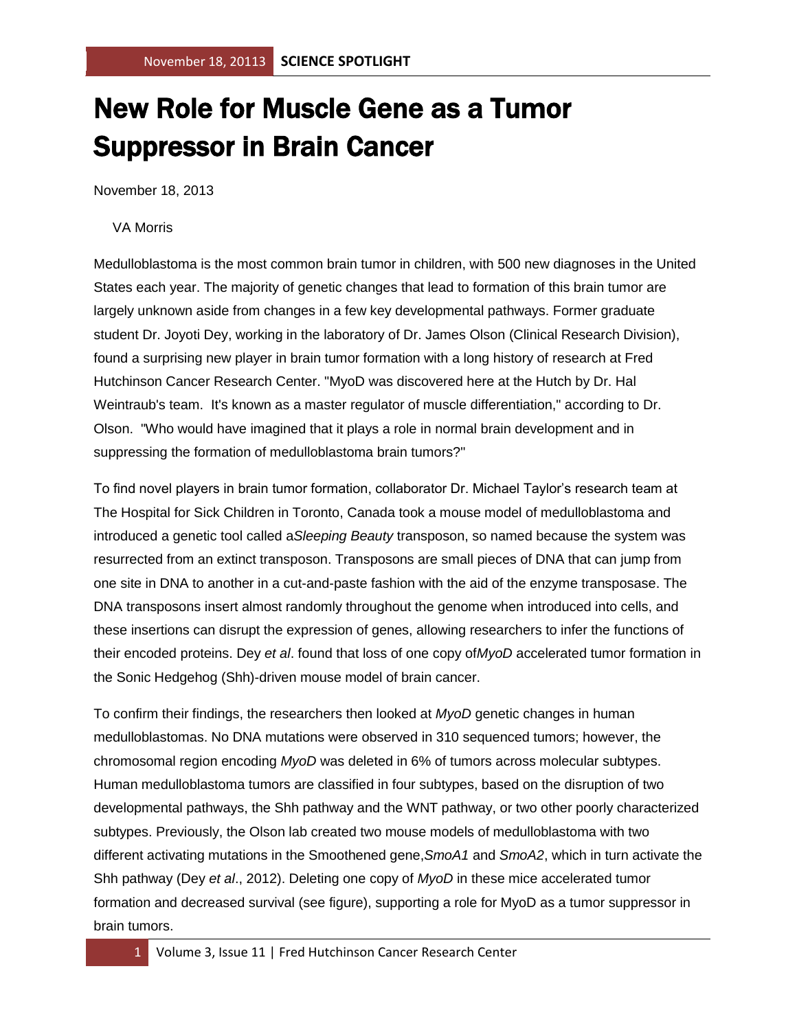## New Role for Muscle Gene as a Tumor Suppressor in Brain Cancer

November 18, 2013

## VA Morris

Medulloblastoma is the most common brain tumor in children, with 500 new diagnoses in the United States each year. The majority of genetic changes that lead to formation of this brain tumor are largely unknown aside from changes in a few key developmental pathways. Former graduate student Dr. Joyoti Dey, working in the laboratory of Dr. James Olson (Clinical Research Division), found a surprising new player in brain tumor formation with a long history of research at Fred Hutchinson Cancer Research Center. "MyoD was discovered here at the Hutch by Dr. Hal Weintraub's team. It's known as a master regulator of muscle differentiation," according to Dr. Olson. "Who would have imagined that it plays a role in normal brain development and in suppressing the formation of medulloblastoma brain tumors?"

To find novel players in brain tumor formation, collaborator Dr. Michael Taylor's research team at The Hospital for Sick Children in Toronto, Canada took a mouse model of medulloblastoma and introduced a genetic tool called a*Sleeping Beauty* transposon, so named because the system was resurrected from an extinct transposon. Transposons are small pieces of DNA that can jump from one site in DNA to another in a cut-and-paste fashion with the aid of the enzyme transposase. The DNA transposons insert almost randomly throughout the genome when introduced into cells, and these insertions can disrupt the expression of genes, allowing researchers to infer the functions of their encoded proteins. Dey *et al*. found that loss of one copy of*MyoD* accelerated tumor formation in the Sonic Hedgehog (Shh)-driven mouse model of brain cancer.

To confirm their findings, the researchers then looked at *MyoD* genetic changes in human medulloblastomas. No DNA mutations were observed in 310 sequenced tumors; however, the chromosomal region encoding *MyoD* was deleted in 6% of tumors across molecular subtypes. Human medulloblastoma tumors are classified in four subtypes, based on the disruption of two developmental pathways, the Shh pathway and the WNT pathway, or two other poorly characterized subtypes. Previously, the Olson lab created two mouse models of medulloblastoma with two different activating mutations in the Smoothened gene,*SmoA1* and *SmoA2*, which in turn activate the Shh pathway (Dey *et al*., 2012). Deleting one copy of *MyoD* in these mice accelerated tumor formation and decreased survival (see figure), supporting a role for MyoD as a tumor suppressor in brain tumors.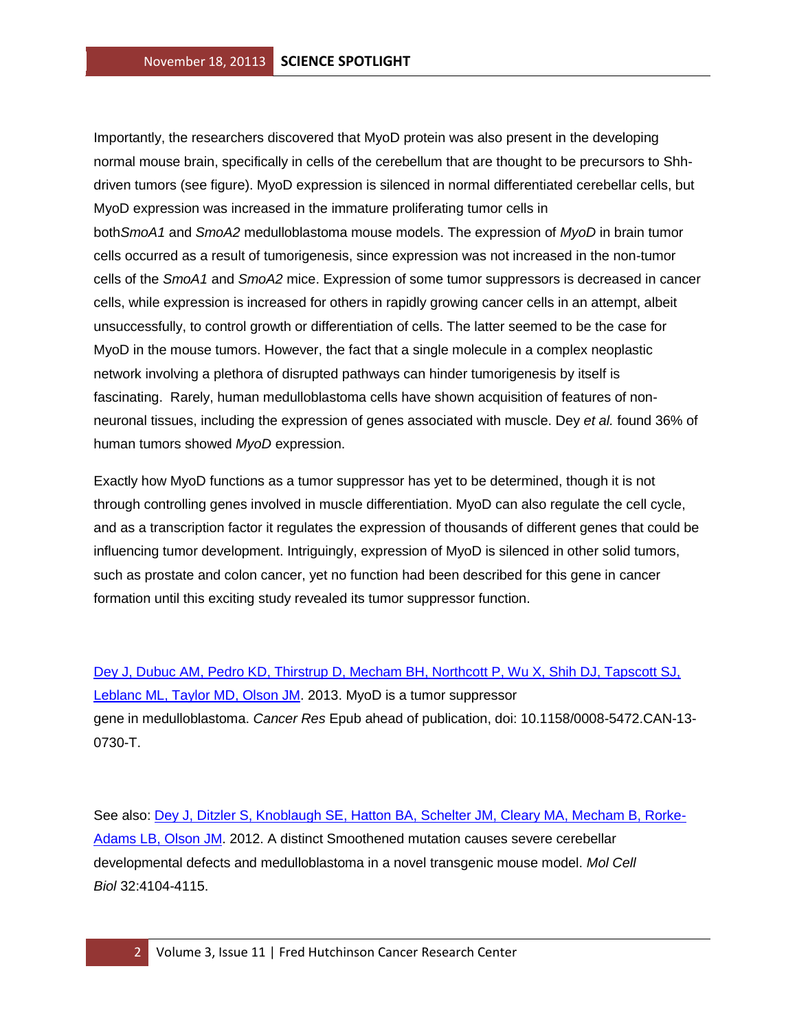Importantly, the researchers discovered that MyoD protein was also present in the developing normal mouse brain, specifically in cells of the cerebellum that are thought to be precursors to Shhdriven tumors (see figure). MyoD expression is silenced in normal differentiated cerebellar cells, but MyoD expression was increased in the immature proliferating tumor cells in both*SmoA1* and *SmoA2* medulloblastoma mouse models. The expression of *MyoD* in brain tumor cells occurred as a result of tumorigenesis, since expression was not increased in the non-tumor cells of the *SmoA1* and *SmoA2* mice. Expression of some tumor suppressors is decreased in cancer cells, while expression is increased for others in rapidly growing cancer cells in an attempt, albeit unsuccessfully, to control growth or differentiation of cells. The latter seemed to be the case for MyoD in the mouse tumors. However, the fact that a single molecule in a complex neoplastic network involving a plethora of disrupted pathways can hinder tumorigenesis by itself is fascinating. Rarely, human medulloblastoma cells have shown acquisition of features of nonneuronal tissues, including the expression of genes associated with muscle. Dey *et al.* found 36% of human tumors showed *MyoD* expression.

Exactly how MyoD functions as a tumor suppressor has yet to be determined, though it is not through controlling genes involved in muscle differentiation. MyoD can also regulate the cell cycle, and as a transcription factor it regulates the expression of thousands of different genes that could be influencing tumor development. Intriguingly, expression of MyoD is silenced in other solid tumors, such as prostate and colon cancer, yet no function had been described for this gene in cancer formation until this exciting study revealed its tumor suppressor function.

[Dey J, Dubuc AM, Pedro KD, Thirstrup D, Mecham BH, Northcott P, Wu X, Shih DJ, Tapscott SJ,](http://www.ncbi.nlm.nih.gov/pubmed/24092238?otool=fhcrclib)  [Leblanc ML, Taylor MD, Olson JM.](http://www.ncbi.nlm.nih.gov/pubmed/24092238?otool=fhcrclib) 2013. MyoD is a tumor suppressor gene in medulloblastoma. *Cancer Res* Epub ahead of publication, doi: 10.1158/0008-5472.CAN-13- 0730-T.

See also: [Dey J, Ditzler S, Knoblaugh SE, Hatton BA, Schelter JM, Cleary MA, Mecham B, Rorke-](http://www.ncbi.nlm.nih.gov/pubmed/22869526?otool=fhcrclib)[Adams LB, Olson JM.](http://www.ncbi.nlm.nih.gov/pubmed/22869526?otool=fhcrclib) 2012. A distinct Smoothened mutation causes severe cerebellar developmental defects and medulloblastoma in a novel transgenic mouse model. *Mol Cell Biol* 32:4104-4115.